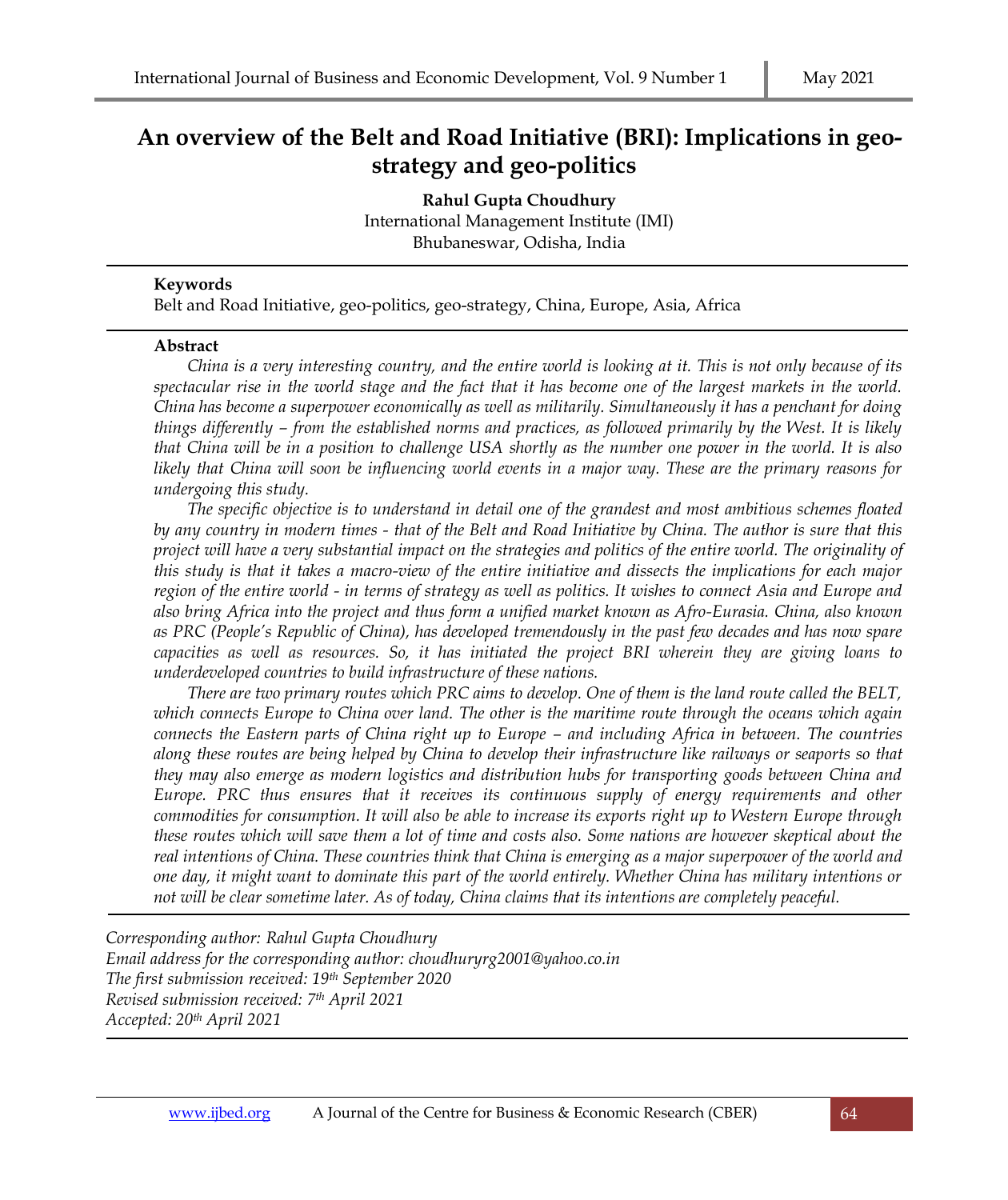# **An overview of the Belt and Road Initiative (BRI): Implications in geostrategy and geo-politics**

**Rahul Gupta Choudhury** International Management Institute (IMI) Bhubaneswar, Odisha, India

# **Keywords**

Belt and Road Initiative, geo-politics, geo-strategy, China, Europe, Asia, Africa

#### **Abstract**

*China is a very interesting country, and the entire world is looking at it. This is not only because of its spectacular rise in the world stage and the fact that it has become one of the largest markets in the world. China has become a superpower economically as well as militarily. Simultaneously it has a penchant for doing things differently – from the established norms and practices, as followed primarily by the West. It is likely that China will be in a position to challenge USA shortly as the number one power in the world. It is also likely that China will soon be influencing world events in a major way. These are the primary reasons for undergoing this study.* 

*The specific objective is to understand in detail one of the grandest and most ambitious schemes floated by any country in modern times - that of the Belt and Road Initiative by China. The author is sure that this project will have a very substantial impact on the strategies and politics of the entire world. The originality of this study is that it takes a macro-view of the entire initiative and dissects the implications for each major region of the entire world - in terms of strategy as well as politics. It wishes to connect Asia and Europe and also bring Africa into the project and thus form a unified market known as Afro-Eurasia. China, also known as PRC (People's Republic of China), has developed tremendously in the past few decades and has now spare capacities as well as resources. So, it has initiated the project BRI wherein they are giving loans to underdeveloped countries to build infrastructure of these nations.* 

*There are two primary routes which PRC aims to develop. One of them is the land route called the BELT, which connects Europe to China over land. The other is the maritime route through the oceans which again connects the Eastern parts of China right up to Europe – and including Africa in between. The countries along these routes are being helped by China to develop their infrastructure like railways or seaports so that they may also emerge as modern logistics and distribution hubs for transporting goods between China and Europe. PRC thus ensures that it receives its continuous supply of energy requirements and other commodities for consumption. It will also be able to increase its exports right up to Western Europe through these routes which will save them a lot of time and costs also. Some nations are however skeptical about the real intentions of China. These countries think that China is emerging as a major superpower of the world and one day, it might want to dominate this part of the world entirely. Whether China has military intentions or not will be clear sometime later. As of today, China claims that its intentions are completely peaceful.*

*Corresponding author: Rahul Gupta Choudhury Email address for the corresponding author: choudhuryrg2001@yahoo.co.in The first submission received: 19th September 2020 Revised submission received: 7 th April 2021 Accepted: 20th April 2021*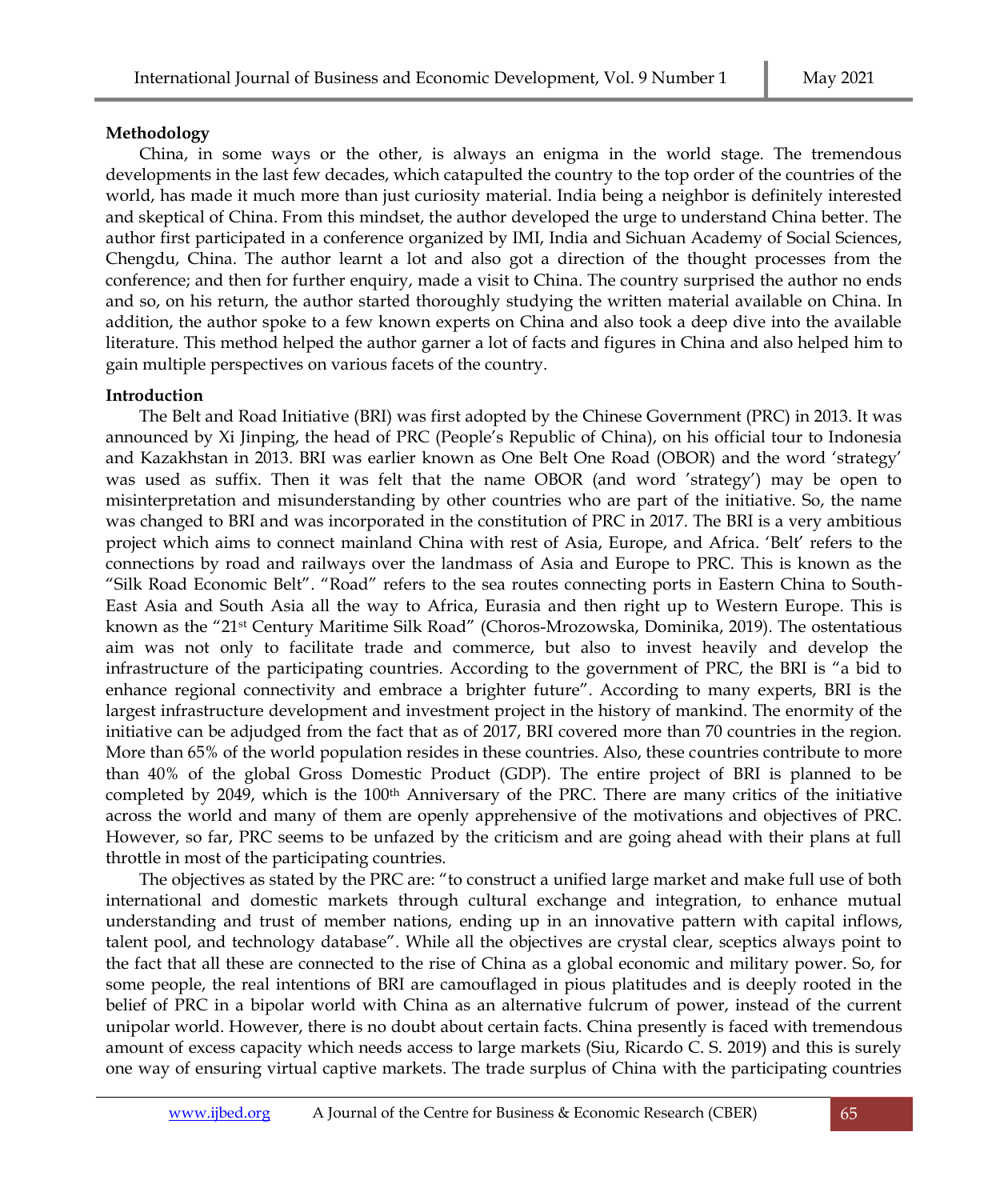# **Methodology**

China, in some ways or the other, is always an enigma in the world stage. The tremendous developments in the last few decades, which catapulted the country to the top order of the countries of the world, has made it much more than just curiosity material. India being a neighbor is definitely interested and skeptical of China. From this mindset, the author developed the urge to understand China better. The author first participated in a conference organized by IMI, India and Sichuan Academy of Social Sciences, Chengdu, China. The author learnt a lot and also got a direction of the thought processes from the conference; and then for further enquiry, made a visit to China. The country surprised the author no ends and so, on his return, the author started thoroughly studying the written material available on China. In addition, the author spoke to a few known experts on China and also took a deep dive into the available literature. This method helped the author garner a lot of facts and figures in China and also helped him to gain multiple perspectives on various facets of the country.

# **Introduction**

The Belt and Road Initiative (BRI) was first adopted by the Chinese Government (PRC) in 2013. It was announced by Xi Jinping, the head of PRC (People's Republic of China), on his official tour to Indonesia and Kazakhstan in 2013. BRI was earlier known as One Belt One Road (OBOR) and the word 'strategy' was used as suffix. Then it was felt that the name OBOR (and word 'strategy') may be open to misinterpretation and misunderstanding by other countries who are part of the initiative. So, the name was changed to BRI and was incorporated in the constitution of PRC in 2017. The BRI is a very ambitious project which aims to connect mainland China with rest of Asia, Europe, and Africa. 'Belt' refers to the connections by road and railways over the landmass of Asia and Europe to PRC. This is known as the "Silk Road Economic Belt". "Road" refers to the sea routes connecting ports in Eastern China to South-East Asia and South Asia all the way to Africa, Eurasia and then right up to Western Europe. This is known as the "21st Century Maritime Silk Road" (Choros-Mrozowska, Dominika, 2019). The ostentatious aim was not only to facilitate trade and commerce, but also to invest heavily and develop the infrastructure of the participating countries. According to the government of PRC, the BRI is "a bid to enhance regional connectivity and embrace a brighter future". According to many experts, BRI is the largest infrastructure development and investment project in the history of mankind. The enormity of the initiative can be adjudged from the fact that as of 2017, BRI covered more than 70 countries in the region. More than 65% of the world population resides in these countries. Also, these countries contribute to more than 40% of the global Gross Domestic Product (GDP). The entire project of BRI is planned to be completed by 2049, which is the 100th Anniversary of the PRC. There are many critics of the initiative across the world and many of them are openly apprehensive of the motivations and objectives of PRC. However, so far, PRC seems to be unfazed by the criticism and are going ahead with their plans at full throttle in most of the participating countries.

The objectives as stated by the PRC are: "to construct a unified large market and make full use of both international and domestic markets through cultural exchange and integration, to enhance mutual understanding and trust of member nations, ending up in an innovative pattern with capital inflows, talent pool, and technology database". While all the objectives are crystal clear, sceptics always point to the fact that all these are connected to the rise of China as a global economic and military power. So, for some people, the real intentions of BRI are camouflaged in pious platitudes and is deeply rooted in the belief of PRC in a bipolar world with China as an alternative fulcrum of power, instead of the current unipolar world. However, there is no doubt about certain facts. China presently is faced with tremendous amount of excess capacity which needs access to large markets (Siu, Ricardo C. S. 2019) and this is surely one way of ensuring virtual captive markets. The trade surplus of China with the participating countries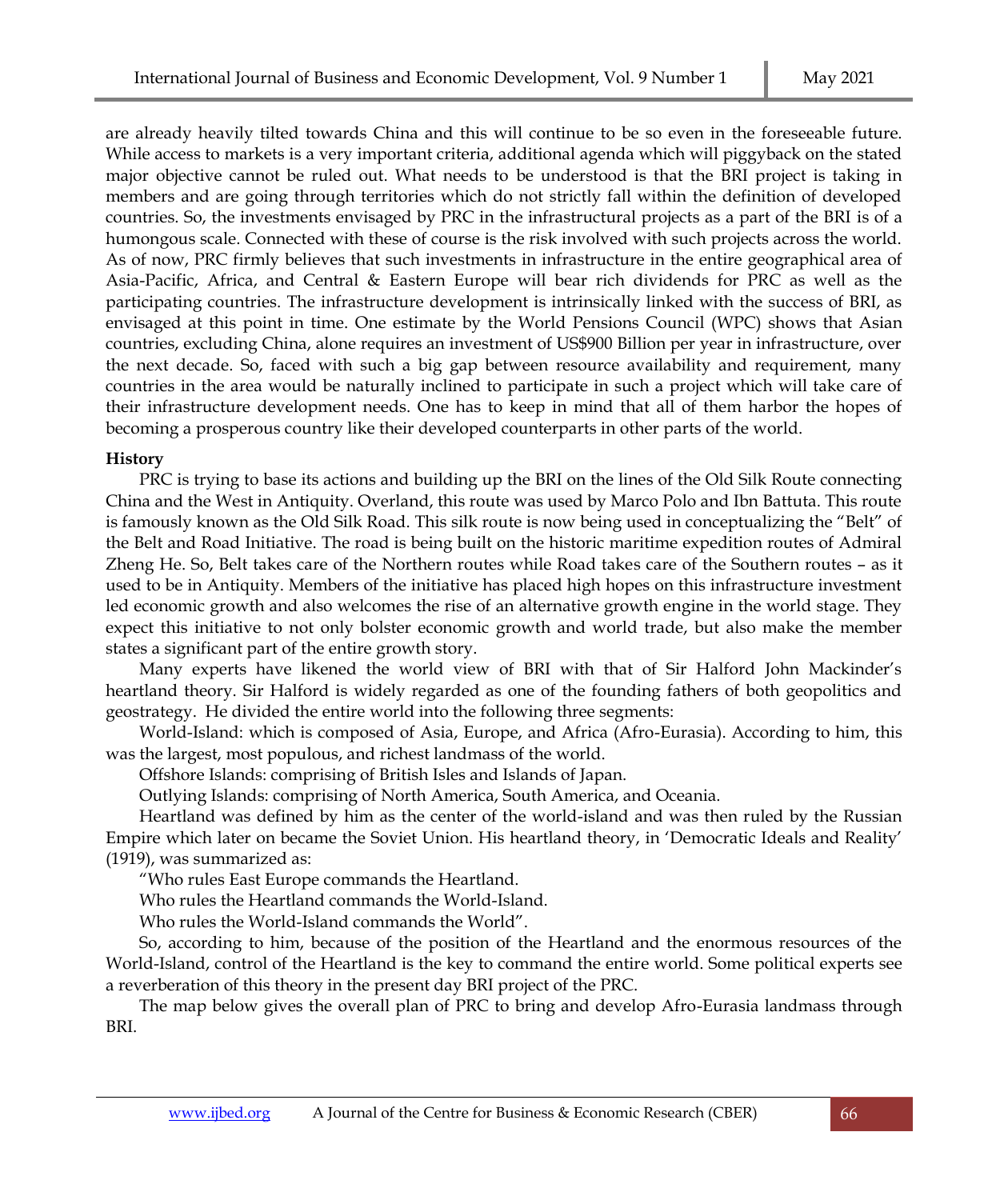are already heavily tilted towards China and this will continue to be so even in the foreseeable future. While access to markets is a very important criteria, additional agenda which will piggyback on the stated major objective cannot be ruled out. What needs to be understood is that the BRI project is taking in members and are going through territories which do not strictly fall within the definition of developed countries. So, the investments envisaged by PRC in the infrastructural projects as a part of the BRI is of a humongous scale. Connected with these of course is the risk involved with such projects across the world. As of now, PRC firmly believes that such investments in infrastructure in the entire geographical area of Asia-Pacific, Africa, and Central & Eastern Europe will bear rich dividends for PRC as well as the participating countries. The infrastructure development is intrinsically linked with the success of BRI, as envisaged at this point in time. One estimate by the World Pensions Council (WPC) shows that Asian countries, excluding China, alone requires an investment of US\$900 Billion per year in infrastructure, over the next decade. So, faced with such a big gap between resource availability and requirement, many countries in the area would be naturally inclined to participate in such a project which will take care of their infrastructure development needs. One has to keep in mind that all of them harbor the hopes of becoming a prosperous country like their developed counterparts in other parts of the world.

# **History**

PRC is trying to base its actions and building up the BRI on the lines of the Old Silk Route connecting China and the West in Antiquity. Overland, this route was used by Marco Polo and Ibn Battuta. This route is famously known as the Old Silk Road. This silk route is now being used in conceptualizing the "Belt" of the Belt and Road Initiative. The road is being built on the historic maritime expedition routes of Admiral Zheng He. So, Belt takes care of the Northern routes while Road takes care of the Southern routes – as it used to be in Antiquity. Members of the initiative has placed high hopes on this infrastructure investment led economic growth and also welcomes the rise of an alternative growth engine in the world stage. They expect this initiative to not only bolster economic growth and world trade, but also make the member states a significant part of the entire growth story.

Many experts have likened the world view of BRI with that of Sir Halford John Mackinder's heartland theory. Sir Halford is widely regarded as one of the founding fathers of both geopolitics and geostrategy. He divided the entire world into the following three segments:

World-Island: which is composed of Asia, Europe, and Africa (Afro-Eurasia). According to him, this was the largest, most populous, and richest landmass of the world.

Offshore Islands: comprising of British Isles and Islands of Japan.

Outlying Islands: comprising of North America, South America, and Oceania.

Heartland was defined by him as the center of the world-island and was then ruled by the Russian Empire which later on became the Soviet Union. His heartland theory, in 'Democratic Ideals and Reality' (1919), was summarized as:

"Who rules East Europe commands the Heartland.

Who rules the Heartland commands the World-Island.

Who rules the World-Island commands the World".

So, according to him, because of the position of the Heartland and the enormous resources of the World-Island, control of the Heartland is the key to command the entire world. Some political experts see a reverberation of this theory in the present day BRI project of the PRC.

The map below gives the overall plan of PRC to bring and develop Afro-Eurasia landmass through BRI.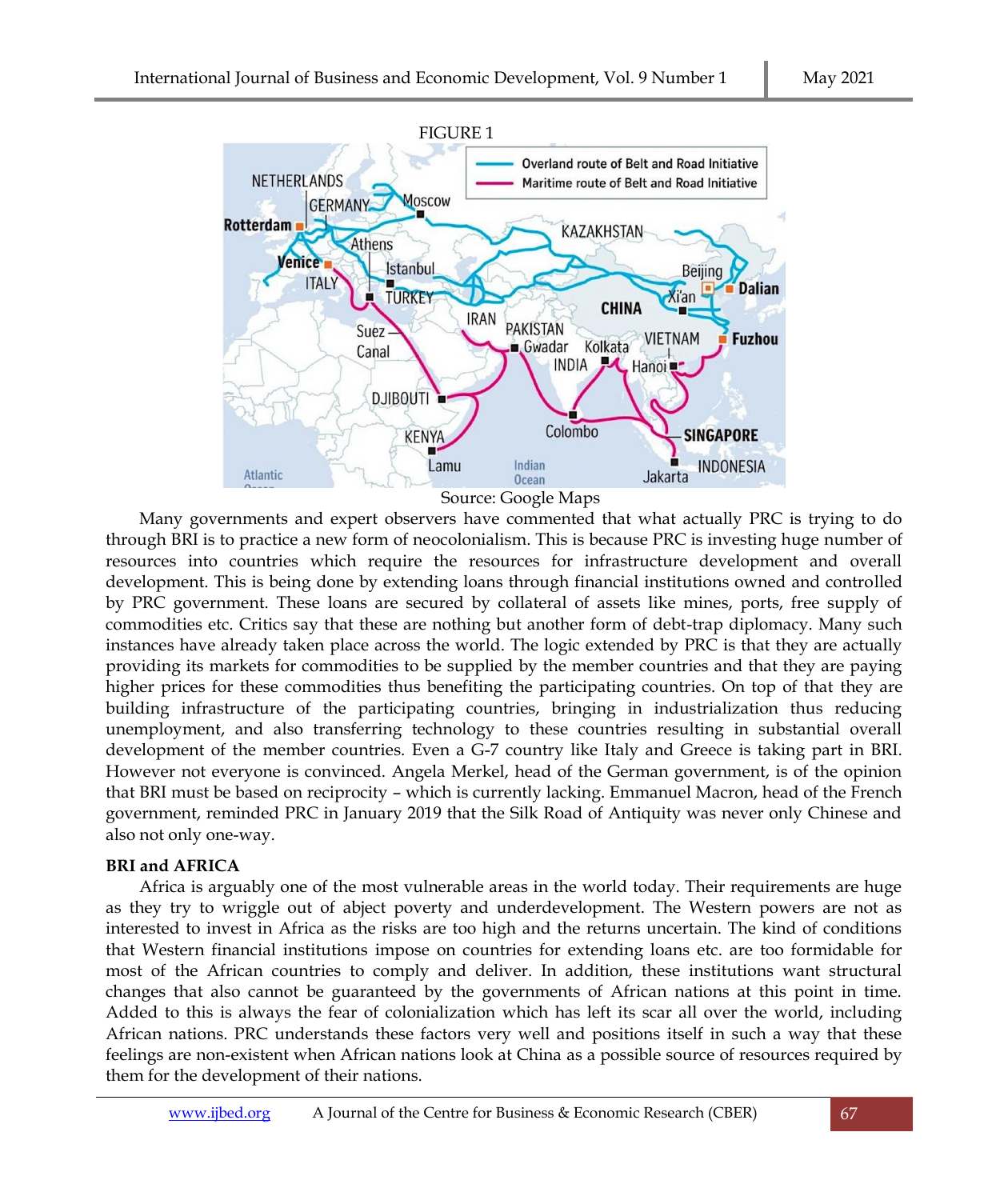

Many governments and expert observers have commented that what actually PRC is trying to do through BRI is to practice a new form of neocolonialism. This is because PRC is investing huge number of resources into countries which require the resources for infrastructure development and overall development. This is being done by extending loans through financial institutions owned and controlled by PRC government. These loans are secured by collateral of assets like mines, ports, free supply of commodities etc. Critics say that these are nothing but another form of debt-trap diplomacy. Many such instances have already taken place across the world. The logic extended by PRC is that they are actually providing its markets for commodities to be supplied by the member countries and that they are paying higher prices for these commodities thus benefiting the participating countries. On top of that they are building infrastructure of the participating countries, bringing in industrialization thus reducing unemployment, and also transferring technology to these countries resulting in substantial overall development of the member countries. Even a G-7 country like Italy and Greece is taking part in BRI. However not everyone is convinced. Angela Merkel, head of the German government, is of the opinion that BRI must be based on reciprocity – which is currently lacking. Emmanuel Macron, head of the French government, reminded PRC in January 2019 that the Silk Road of Antiquity was never only Chinese and also not only one-way.

# **BRI and AFRICA**

Africa is arguably one of the most vulnerable areas in the world today. Their requirements are huge as they try to wriggle out of abject poverty and underdevelopment. The Western powers are not as interested to invest in Africa as the risks are too high and the returns uncertain. The kind of conditions that Western financial institutions impose on countries for extending loans etc. are too formidable for most of the African countries to comply and deliver. In addition, these institutions want structural changes that also cannot be guaranteed by the governments of African nations at this point in time. Added to this is always the fear of colonialization which has left its scar all over the world, including African nations. PRC understands these factors very well and positions itself in such a way that these feelings are non-existent when African nations look at China as a possible source of resources required by them for the development of their nations.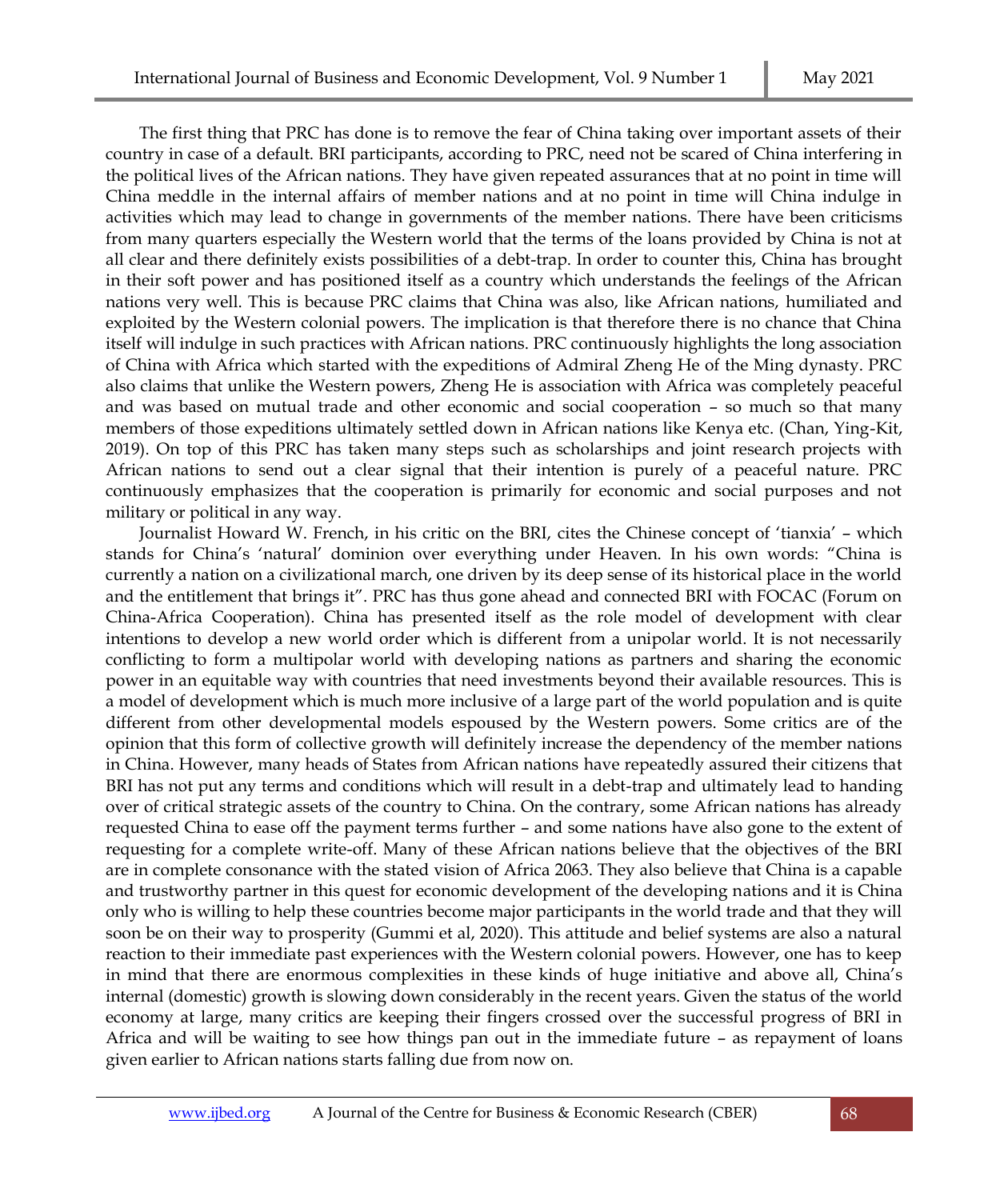The first thing that PRC has done is to remove the fear of China taking over important assets of their country in case of a default. BRI participants, according to PRC, need not be scared of China interfering in the political lives of the African nations. They have given repeated assurances that at no point in time will China meddle in the internal affairs of member nations and at no point in time will China indulge in activities which may lead to change in governments of the member nations. There have been criticisms from many quarters especially the Western world that the terms of the loans provided by China is not at all clear and there definitely exists possibilities of a debt-trap. In order to counter this, China has brought in their soft power and has positioned itself as a country which understands the feelings of the African nations very well. This is because PRC claims that China was also, like African nations, humiliated and exploited by the Western colonial powers. The implication is that therefore there is no chance that China itself will indulge in such practices with African nations. PRC continuously highlights the long association of China with Africa which started with the expeditions of Admiral Zheng He of the Ming dynasty. PRC also claims that unlike the Western powers, Zheng He is association with Africa was completely peaceful and was based on mutual trade and other economic and social cooperation – so much so that many members of those expeditions ultimately settled down in African nations like Kenya etc. (Chan, Ying-Kit, 2019). On top of this PRC has taken many steps such as scholarships and joint research projects with African nations to send out a clear signal that their intention is purely of a peaceful nature. PRC continuously emphasizes that the cooperation is primarily for economic and social purposes and not military or political in any way.

Journalist Howard W. French, in his critic on the BRI, cites the Chinese concept of 'tianxia' – which stands for China's 'natural' dominion over everything under Heaven. In his own words: "China is currently a nation on a civilizational march, one driven by its deep sense of its historical place in the world and the entitlement that brings it". PRC has thus gone ahead and connected BRI with FOCAC (Forum on China-Africa Cooperation). China has presented itself as the role model of development with clear intentions to develop a new world order which is different from a unipolar world. It is not necessarily conflicting to form a multipolar world with developing nations as partners and sharing the economic power in an equitable way with countries that need investments beyond their available resources. This is a model of development which is much more inclusive of a large part of the world population and is quite different from other developmental models espoused by the Western powers. Some critics are of the opinion that this form of collective growth will definitely increase the dependency of the member nations in China. However, many heads of States from African nations have repeatedly assured their citizens that BRI has not put any terms and conditions which will result in a debt-trap and ultimately lead to handing over of critical strategic assets of the country to China. On the contrary, some African nations has already requested China to ease off the payment terms further – and some nations have also gone to the extent of requesting for a complete write-off. Many of these African nations believe that the objectives of the BRI are in complete consonance with the stated vision of Africa 2063. They also believe that China is a capable and trustworthy partner in this quest for economic development of the developing nations and it is China only who is willing to help these countries become major participants in the world trade and that they will soon be on their way to prosperity (Gummi et al, 2020). This attitude and belief systems are also a natural reaction to their immediate past experiences with the Western colonial powers. However, one has to keep in mind that there are enormous complexities in these kinds of huge initiative and above all, China's internal (domestic) growth is slowing down considerably in the recent years. Given the status of the world economy at large, many critics are keeping their fingers crossed over the successful progress of BRI in Africa and will be waiting to see how things pan out in the immediate future – as repayment of loans given earlier to African nations starts falling due from now on.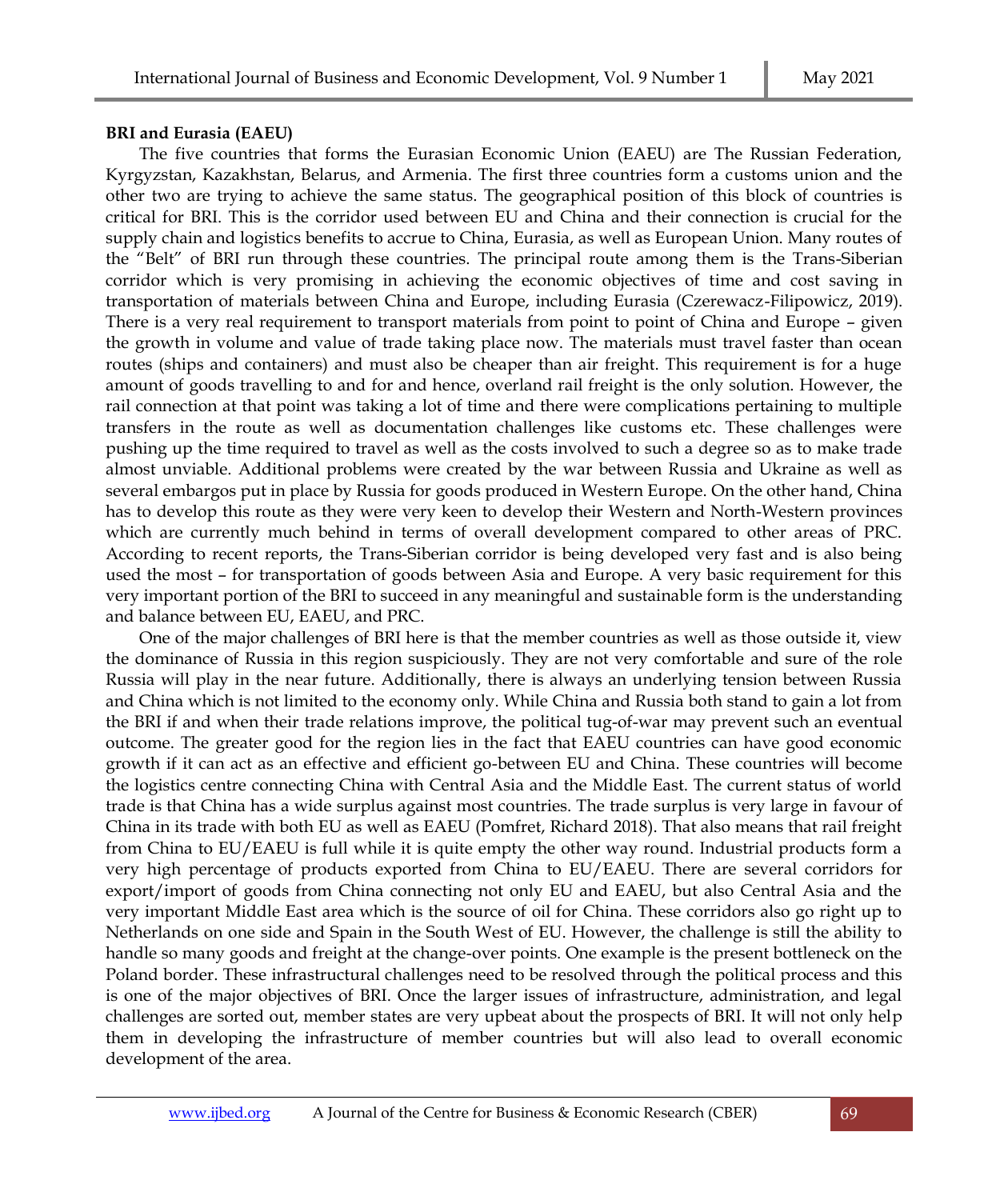#### **BRI and Eurasia (EAEU)**

The five countries that forms the Eurasian Economic Union (EAEU) are The Russian Federation, Kyrgyzstan, Kazakhstan, Belarus, and Armenia. The first three countries form a customs union and the other two are trying to achieve the same status. The geographical position of this block of countries is critical for BRI. This is the corridor used between EU and China and their connection is crucial for the supply chain and logistics benefits to accrue to China, Eurasia, as well as European Union. Many routes of the "Belt" of BRI run through these countries. The principal route among them is the Trans-Siberian corridor which is very promising in achieving the economic objectives of time and cost saving in transportation of materials between China and Europe, including Eurasia (Czerewacz-Filipowicz, 2019). There is a very real requirement to transport materials from point to point of China and Europe – given the growth in volume and value of trade taking place now. The materials must travel faster than ocean routes (ships and containers) and must also be cheaper than air freight. This requirement is for a huge amount of goods travelling to and for and hence, overland rail freight is the only solution. However, the rail connection at that point was taking a lot of time and there were complications pertaining to multiple transfers in the route as well as documentation challenges like customs etc. These challenges were pushing up the time required to travel as well as the costs involved to such a degree so as to make trade almost unviable. Additional problems were created by the war between Russia and Ukraine as well as several embargos put in place by Russia for goods produced in Western Europe. On the other hand, China has to develop this route as they were very keen to develop their Western and North-Western provinces which are currently much behind in terms of overall development compared to other areas of PRC. According to recent reports, the Trans-Siberian corridor is being developed very fast and is also being used the most – for transportation of goods between Asia and Europe. A very basic requirement for this very important portion of the BRI to succeed in any meaningful and sustainable form is the understanding and balance between EU, EAEU, and PRC.

One of the major challenges of BRI here is that the member countries as well as those outside it, view the dominance of Russia in this region suspiciously. They are not very comfortable and sure of the role Russia will play in the near future. Additionally, there is always an underlying tension between Russia and China which is not limited to the economy only. While China and Russia both stand to gain a lot from the BRI if and when their trade relations improve, the political tug-of-war may prevent such an eventual outcome. The greater good for the region lies in the fact that EAEU countries can have good economic growth if it can act as an effective and efficient go-between EU and China. These countries will become the logistics centre connecting China with Central Asia and the Middle East. The current status of world trade is that China has a wide surplus against most countries. The trade surplus is very large in favour of China in its trade with both EU as well as EAEU (Pomfret, Richard 2018). That also means that rail freight from China to EU/EAEU is full while it is quite empty the other way round. Industrial products form a very high percentage of products exported from China to EU/EAEU. There are several corridors for export/import of goods from China connecting not only EU and EAEU, but also Central Asia and the very important Middle East area which is the source of oil for China. These corridors also go right up to Netherlands on one side and Spain in the South West of EU. However, the challenge is still the ability to handle so many goods and freight at the change-over points. One example is the present bottleneck on the Poland border. These infrastructural challenges need to be resolved through the political process and this is one of the major objectives of BRI. Once the larger issues of infrastructure, administration, and legal challenges are sorted out, member states are very upbeat about the prospects of BRI. It will not only help them in developing the infrastructure of member countries but will also lead to overall economic development of the area.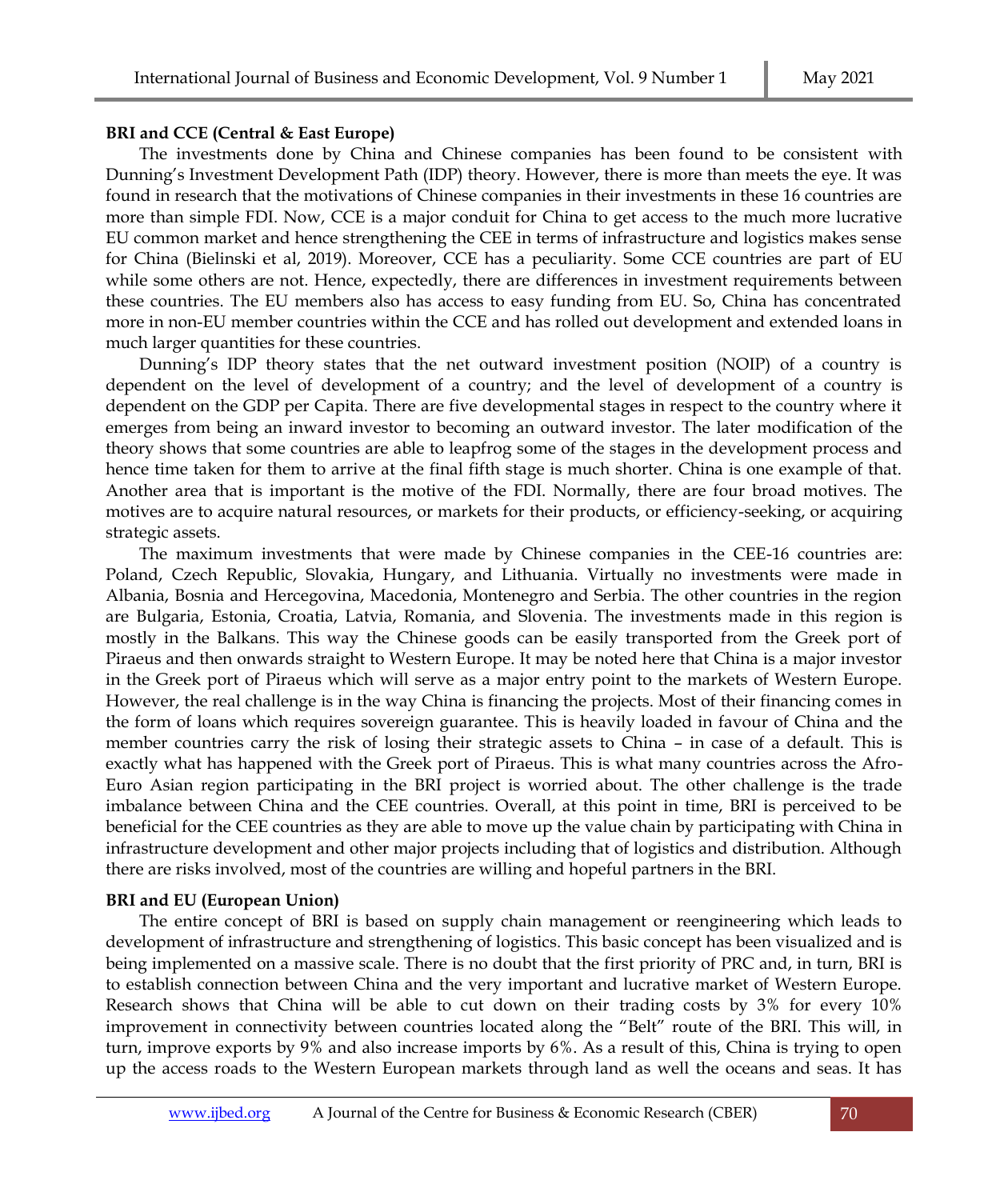#### **BRI and CCE (Central & East Europe)**

The investments done by China and Chinese companies has been found to be consistent with Dunning's Investment Development Path (IDP) theory. However, there is more than meets the eye. It was found in research that the motivations of Chinese companies in their investments in these 16 countries are more than simple FDI. Now, CCE is a major conduit for China to get access to the much more lucrative EU common market and hence strengthening the CEE in terms of infrastructure and logistics makes sense for China (Bielinski et al, 2019). Moreover, CCE has a peculiarity. Some CCE countries are part of EU while some others are not. Hence, expectedly, there are differences in investment requirements between these countries. The EU members also has access to easy funding from EU. So, China has concentrated more in non-EU member countries within the CCE and has rolled out development and extended loans in much larger quantities for these countries.

Dunning's IDP theory states that the net outward investment position (NOIP) of a country is dependent on the level of development of a country; and the level of development of a country is dependent on the GDP per Capita. There are five developmental stages in respect to the country where it emerges from being an inward investor to becoming an outward investor. The later modification of the theory shows that some countries are able to leapfrog some of the stages in the development process and hence time taken for them to arrive at the final fifth stage is much shorter. China is one example of that. Another area that is important is the motive of the FDI. Normally, there are four broad motives. The motives are to acquire natural resources, or markets for their products, or efficiency-seeking, or acquiring strategic assets.

The maximum investments that were made by Chinese companies in the CEE-16 countries are: Poland, Czech Republic, Slovakia, Hungary, and Lithuania. Virtually no investments were made in Albania, Bosnia and Hercegovina, Macedonia, Montenegro and Serbia. The other countries in the region are Bulgaria, Estonia, Croatia, Latvia, Romania, and Slovenia. The investments made in this region is mostly in the Balkans. This way the Chinese goods can be easily transported from the Greek port of Piraeus and then onwards straight to Western Europe. It may be noted here that China is a major investor in the Greek port of Piraeus which will serve as a major entry point to the markets of Western Europe. However, the real challenge is in the way China is financing the projects. Most of their financing comes in the form of loans which requires sovereign guarantee. This is heavily loaded in favour of China and the member countries carry the risk of losing their strategic assets to China – in case of a default. This is exactly what has happened with the Greek port of Piraeus. This is what many countries across the Afro-Euro Asian region participating in the BRI project is worried about. The other challenge is the trade imbalance between China and the CEE countries. Overall, at this point in time, BRI is perceived to be beneficial for the CEE countries as they are able to move up the value chain by participating with China in infrastructure development and other major projects including that of logistics and distribution. Although there are risks involved, most of the countries are willing and hopeful partners in the BRI.

# **BRI and EU (European Union)**

The entire concept of BRI is based on supply chain management or reengineering which leads to development of infrastructure and strengthening of logistics. This basic concept has been visualized and is being implemented on a massive scale. There is no doubt that the first priority of PRC and, in turn, BRI is to establish connection between China and the very important and lucrative market of Western Europe. Research shows that China will be able to cut down on their trading costs by 3% for every 10% improvement in connectivity between countries located along the "Belt" route of the BRI. This will, in turn, improve exports by 9% and also increase imports by 6%. As a result of this, China is trying to open up the access roads to the Western European markets through land as well the oceans and seas. It has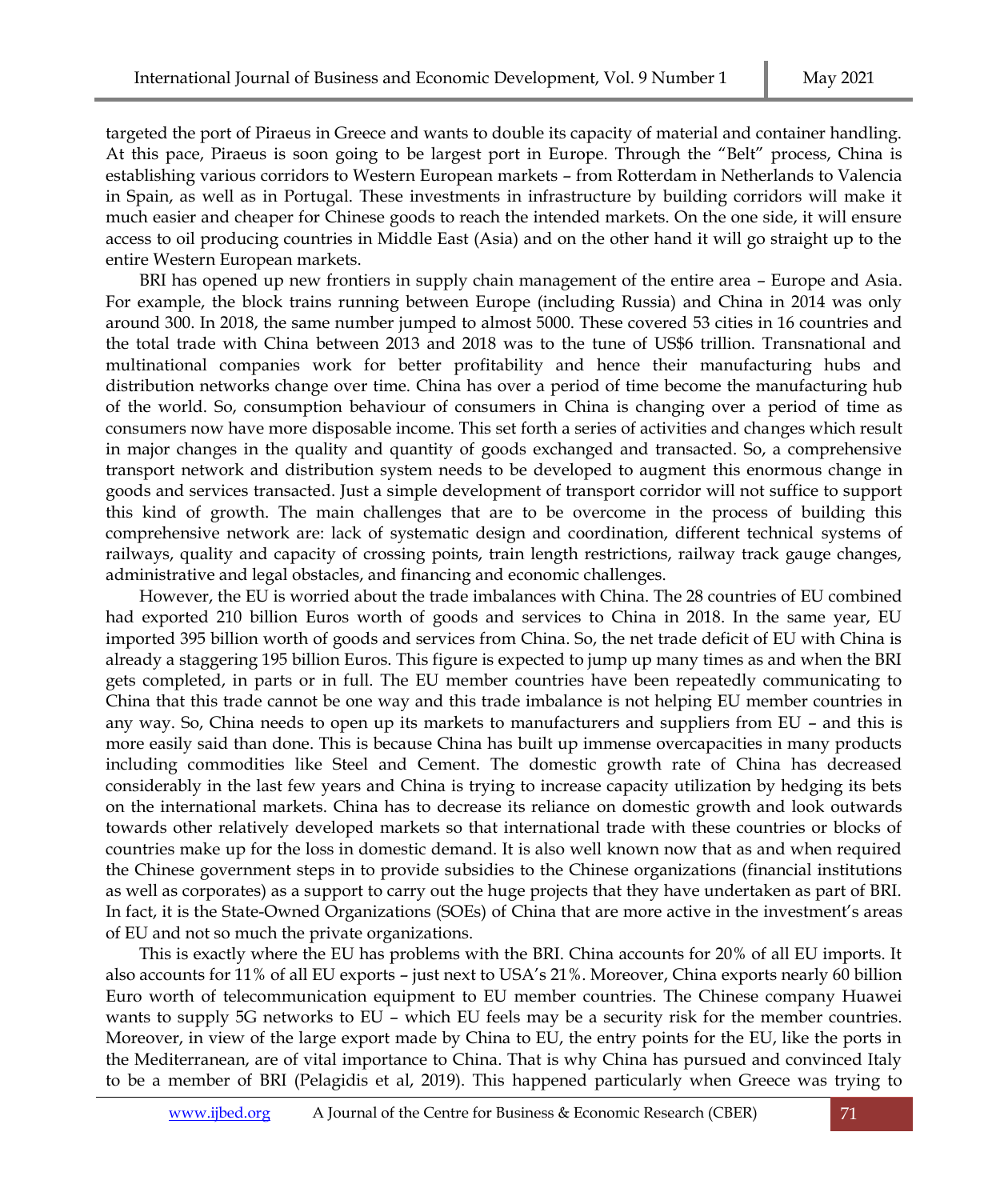targeted the port of Piraeus in Greece and wants to double its capacity of material and container handling. At this pace, Piraeus is soon going to be largest port in Europe. Through the "Belt" process, China is establishing various corridors to Western European markets – from Rotterdam in Netherlands to Valencia in Spain, as well as in Portugal. These investments in infrastructure by building corridors will make it much easier and cheaper for Chinese goods to reach the intended markets. On the one side, it will ensure access to oil producing countries in Middle East (Asia) and on the other hand it will go straight up to the entire Western European markets.

BRI has opened up new frontiers in supply chain management of the entire area – Europe and Asia. For example, the block trains running between Europe (including Russia) and China in 2014 was only around 300. In 2018, the same number jumped to almost 5000. These covered 53 cities in 16 countries and the total trade with China between 2013 and 2018 was to the tune of US\$6 trillion. Transnational and multinational companies work for better profitability and hence their manufacturing hubs and distribution networks change over time. China has over a period of time become the manufacturing hub of the world. So, consumption behaviour of consumers in China is changing over a period of time as consumers now have more disposable income. This set forth a series of activities and changes which result in major changes in the quality and quantity of goods exchanged and transacted. So, a comprehensive transport network and distribution system needs to be developed to augment this enormous change in goods and services transacted. Just a simple development of transport corridor will not suffice to support this kind of growth. The main challenges that are to be overcome in the process of building this comprehensive network are: lack of systematic design and coordination, different technical systems of railways, quality and capacity of crossing points, train length restrictions, railway track gauge changes, administrative and legal obstacles, and financing and economic challenges.

However, the EU is worried about the trade imbalances with China. The 28 countries of EU combined had exported 210 billion Euros worth of goods and services to China in 2018. In the same year, EU imported 395 billion worth of goods and services from China. So, the net trade deficit of EU with China is already a staggering 195 billion Euros. This figure is expected to jump up many times as and when the BRI gets completed, in parts or in full. The EU member countries have been repeatedly communicating to China that this trade cannot be one way and this trade imbalance is not helping EU member countries in any way. So, China needs to open up its markets to manufacturers and suppliers from EU – and this is more easily said than done. This is because China has built up immense overcapacities in many products including commodities like Steel and Cement. The domestic growth rate of China has decreased considerably in the last few years and China is trying to increase capacity utilization by hedging its bets on the international markets. China has to decrease its reliance on domestic growth and look outwards towards other relatively developed markets so that international trade with these countries or blocks of countries make up for the loss in domestic demand. It is also well known now that as and when required the Chinese government steps in to provide subsidies to the Chinese organizations (financial institutions as well as corporates) as a support to carry out the huge projects that they have undertaken as part of BRI. In fact, it is the State-Owned Organizations (SOEs) of China that are more active in the investment's areas of EU and not so much the private organizations.

This is exactly where the EU has problems with the BRI. China accounts for 20% of all EU imports. It also accounts for 11% of all EU exports – just next to USA's 21%. Moreover, China exports nearly 60 billion Euro worth of telecommunication equipment to EU member countries. The Chinese company Huawei wants to supply 5G networks to EU – which EU feels may be a security risk for the member countries. Moreover, in view of the large export made by China to EU, the entry points for the EU, like the ports in the Mediterranean, are of vital importance to China. That is why China has pursued and convinced Italy to be a member of BRI (Pelagidis et al, 2019). This happened particularly when Greece was trying to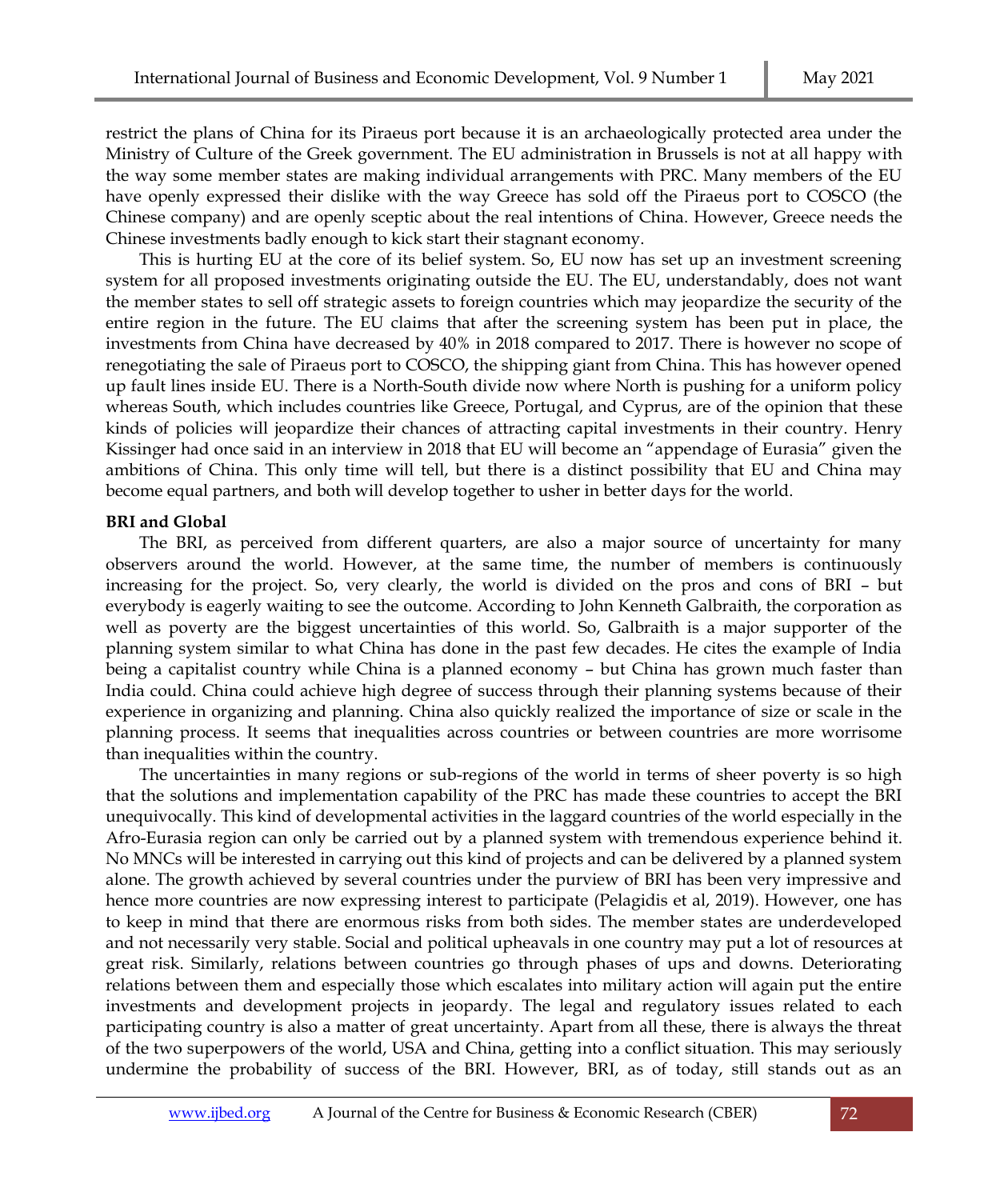restrict the plans of China for its Piraeus port because it is an archaeologically protected area under the Ministry of Culture of the Greek government. The EU administration in Brussels is not at all happy with the way some member states are making individual arrangements with PRC. Many members of the EU have openly expressed their dislike with the way Greece has sold off the Piraeus port to COSCO (the Chinese company) and are openly sceptic about the real intentions of China. However, Greece needs the Chinese investments badly enough to kick start their stagnant economy.

This is hurting EU at the core of its belief system. So, EU now has set up an investment screening system for all proposed investments originating outside the EU. The EU, understandably, does not want the member states to sell off strategic assets to foreign countries which may jeopardize the security of the entire region in the future. The EU claims that after the screening system has been put in place, the investments from China have decreased by 40% in 2018 compared to 2017. There is however no scope of renegotiating the sale of Piraeus port to COSCO, the shipping giant from China. This has however opened up fault lines inside EU. There is a North-South divide now where North is pushing for a uniform policy whereas South, which includes countries like Greece, Portugal, and Cyprus, are of the opinion that these kinds of policies will jeopardize their chances of attracting capital investments in their country. Henry Kissinger had once said in an interview in 2018 that EU will become an "appendage of Eurasia" given the ambitions of China. This only time will tell, but there is a distinct possibility that EU and China may become equal partners, and both will develop together to usher in better days for the world.

# **BRI and Global**

The BRI, as perceived from different quarters, are also a major source of uncertainty for many observers around the world. However, at the same time, the number of members is continuously increasing for the project. So, very clearly, the world is divided on the pros and cons of BRI – but everybody is eagerly waiting to see the outcome. According to John Kenneth Galbraith, the corporation as well as poverty are the biggest uncertainties of this world. So, Galbraith is a major supporter of the planning system similar to what China has done in the past few decades. He cites the example of India being a capitalist country while China is a planned economy – but China has grown much faster than India could. China could achieve high degree of success through their planning systems because of their experience in organizing and planning. China also quickly realized the importance of size or scale in the planning process. It seems that inequalities across countries or between countries are more worrisome than inequalities within the country.

The uncertainties in many regions or sub-regions of the world in terms of sheer poverty is so high that the solutions and implementation capability of the PRC has made these countries to accept the BRI unequivocally. This kind of developmental activities in the laggard countries of the world especially in the Afro-Eurasia region can only be carried out by a planned system with tremendous experience behind it. No MNCs will be interested in carrying out this kind of projects and can be delivered by a planned system alone. The growth achieved by several countries under the purview of BRI has been very impressive and hence more countries are now expressing interest to participate (Pelagidis et al, 2019). However, one has to keep in mind that there are enormous risks from both sides. The member states are underdeveloped and not necessarily very stable. Social and political upheavals in one country may put a lot of resources at great risk. Similarly, relations between countries go through phases of ups and downs. Deteriorating relations between them and especially those which escalates into military action will again put the entire investments and development projects in jeopardy. The legal and regulatory issues related to each participating country is also a matter of great uncertainty. Apart from all these, there is always the threat of the two superpowers of the world, USA and China, getting into a conflict situation. This may seriously undermine the probability of success of the BRI. However, BRI, as of today, still stands out as an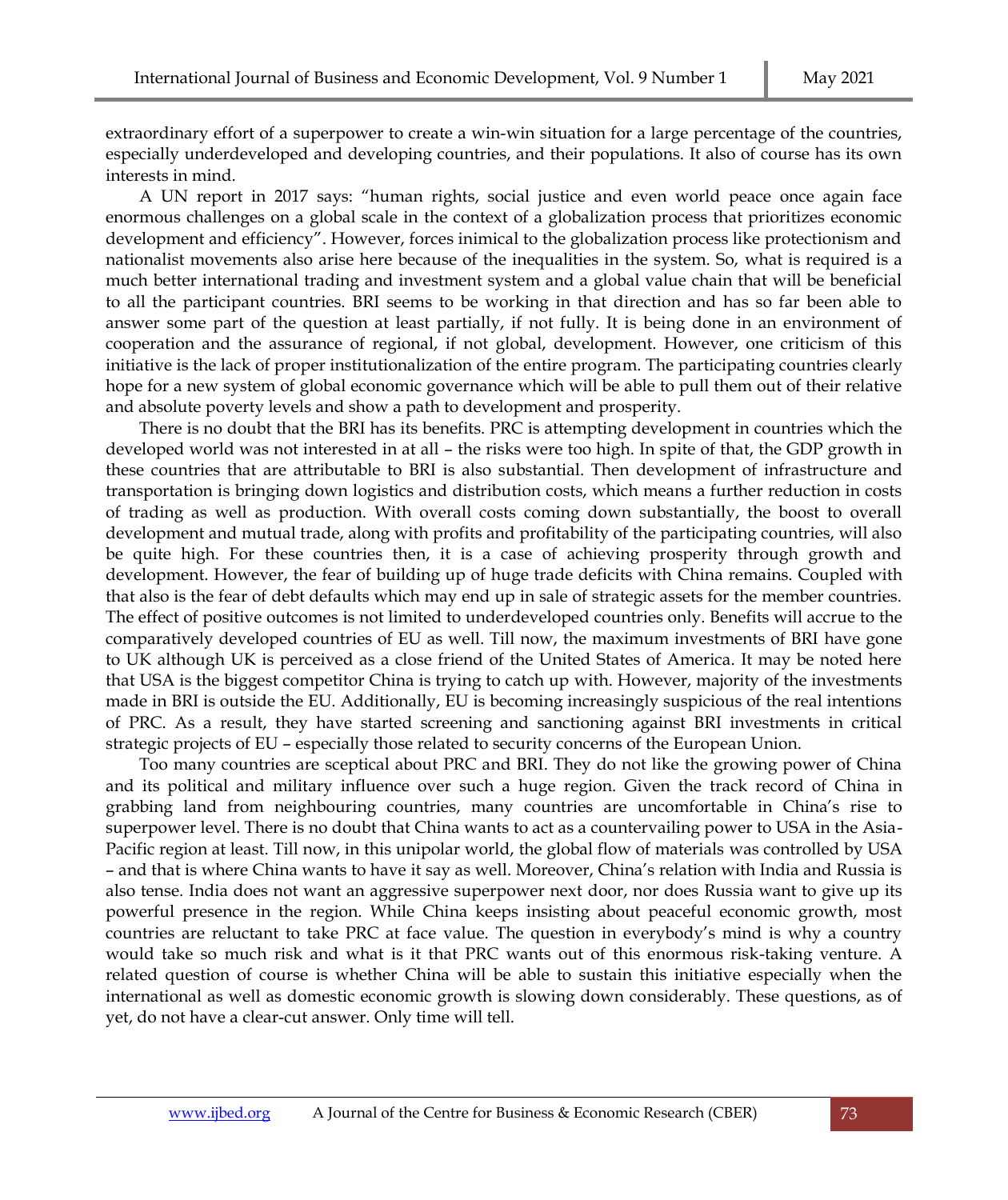extraordinary effort of a superpower to create a win-win situation for a large percentage of the countries, especially underdeveloped and developing countries, and their populations. It also of course has its own interests in mind.

A UN report in 2017 says: "human rights, social justice and even world peace once again face enormous challenges on a global scale in the context of a globalization process that prioritizes economic development and efficiency". However, forces inimical to the globalization process like protectionism and nationalist movements also arise here because of the inequalities in the system. So, what is required is a much better international trading and investment system and a global value chain that will be beneficial to all the participant countries. BRI seems to be working in that direction and has so far been able to answer some part of the question at least partially, if not fully. It is being done in an environment of cooperation and the assurance of regional, if not global, development. However, one criticism of this initiative is the lack of proper institutionalization of the entire program. The participating countries clearly hope for a new system of global economic governance which will be able to pull them out of their relative and absolute poverty levels and show a path to development and prosperity.

There is no doubt that the BRI has its benefits. PRC is attempting development in countries which the developed world was not interested in at all – the risks were too high. In spite of that, the GDP growth in these countries that are attributable to BRI is also substantial. Then development of infrastructure and transportation is bringing down logistics and distribution costs, which means a further reduction in costs of trading as well as production. With overall costs coming down substantially, the boost to overall development and mutual trade, along with profits and profitability of the participating countries, will also be quite high. For these countries then, it is a case of achieving prosperity through growth and development. However, the fear of building up of huge trade deficits with China remains. Coupled with that also is the fear of debt defaults which may end up in sale of strategic assets for the member countries. The effect of positive outcomes is not limited to underdeveloped countries only. Benefits will accrue to the comparatively developed countries of EU as well. Till now, the maximum investments of BRI have gone to UK although UK is perceived as a close friend of the United States of America. It may be noted here that USA is the biggest competitor China is trying to catch up with. However, majority of the investments made in BRI is outside the EU. Additionally, EU is becoming increasingly suspicious of the real intentions of PRC. As a result, they have started screening and sanctioning against BRI investments in critical strategic projects of EU – especially those related to security concerns of the European Union.

Too many countries are sceptical about PRC and BRI. They do not like the growing power of China and its political and military influence over such a huge region. Given the track record of China in grabbing land from neighbouring countries, many countries are uncomfortable in China's rise to superpower level. There is no doubt that China wants to act as a countervailing power to USA in the Asia-Pacific region at least. Till now, in this unipolar world, the global flow of materials was controlled by USA – and that is where China wants to have it say as well. Moreover, China's relation with India and Russia is also tense. India does not want an aggressive superpower next door, nor does Russia want to give up its powerful presence in the region. While China keeps insisting about peaceful economic growth, most countries are reluctant to take PRC at face value. The question in everybody's mind is why a country would take so much risk and what is it that PRC wants out of this enormous risk-taking venture. A related question of course is whether China will be able to sustain this initiative especially when the international as well as domestic economic growth is slowing down considerably. These questions, as of yet, do not have a clear-cut answer. Only time will tell.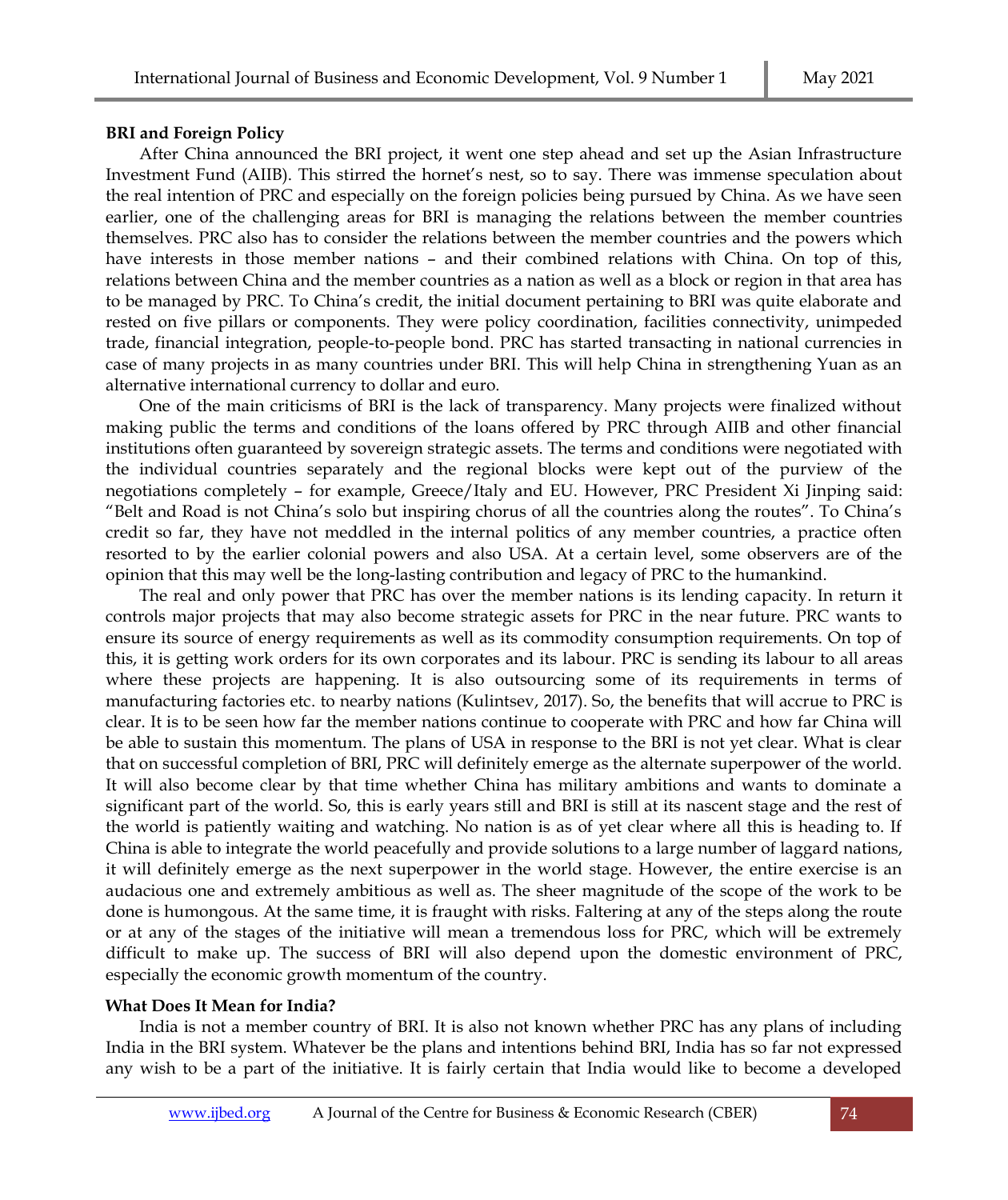#### **BRI and Foreign Policy**

After China announced the BRI project, it went one step ahead and set up the Asian Infrastructure Investment Fund (AIIB). This stirred the hornet's nest, so to say. There was immense speculation about the real intention of PRC and especially on the foreign policies being pursued by China. As we have seen earlier, one of the challenging areas for BRI is managing the relations between the member countries themselves. PRC also has to consider the relations between the member countries and the powers which have interests in those member nations – and their combined relations with China. On top of this, relations between China and the member countries as a nation as well as a block or region in that area has to be managed by PRC. To China's credit, the initial document pertaining to BRI was quite elaborate and rested on five pillars or components. They were policy coordination, facilities connectivity, unimpeded trade, financial integration, people-to-people bond. PRC has started transacting in national currencies in case of many projects in as many countries under BRI. This will help China in strengthening Yuan as an alternative international currency to dollar and euro.

One of the main criticisms of BRI is the lack of transparency. Many projects were finalized without making public the terms and conditions of the loans offered by PRC through AIIB and other financial institutions often guaranteed by sovereign strategic assets. The terms and conditions were negotiated with the individual countries separately and the regional blocks were kept out of the purview of the negotiations completely – for example, Greece/Italy and EU. However, PRC President Xi Jinping said: "Belt and Road is not China's solo but inspiring chorus of all the countries along the routes". To China's credit so far, they have not meddled in the internal politics of any member countries, a practice often resorted to by the earlier colonial powers and also USA. At a certain level, some observers are of the opinion that this may well be the long-lasting contribution and legacy of PRC to the humankind.

The real and only power that PRC has over the member nations is its lending capacity. In return it controls major projects that may also become strategic assets for PRC in the near future. PRC wants to ensure its source of energy requirements as well as its commodity consumption requirements. On top of this, it is getting work orders for its own corporates and its labour. PRC is sending its labour to all areas where these projects are happening. It is also outsourcing some of its requirements in terms of manufacturing factories etc. to nearby nations (Kulintsev, 2017). So, the benefits that will accrue to PRC is clear. It is to be seen how far the member nations continue to cooperate with PRC and how far China will be able to sustain this momentum. The plans of USA in response to the BRI is not yet clear. What is clear that on successful completion of BRI, PRC will definitely emerge as the alternate superpower of the world. It will also become clear by that time whether China has military ambitions and wants to dominate a significant part of the world. So, this is early years still and BRI is still at its nascent stage and the rest of the world is patiently waiting and watching. No nation is as of yet clear where all this is heading to. If China is able to integrate the world peacefully and provide solutions to a large number of laggard nations, it will definitely emerge as the next superpower in the world stage. However, the entire exercise is an audacious one and extremely ambitious as well as. The sheer magnitude of the scope of the work to be done is humongous. At the same time, it is fraught with risks. Faltering at any of the steps along the route or at any of the stages of the initiative will mean a tremendous loss for PRC, which will be extremely difficult to make up. The success of BRI will also depend upon the domestic environment of PRC, especially the economic growth momentum of the country.

# **What Does It Mean for India?**

India is not a member country of BRI. It is also not known whether PRC has any plans of including India in the BRI system. Whatever be the plans and intentions behind BRI, India has so far not expressed any wish to be a part of the initiative. It is fairly certain that India would like to become a developed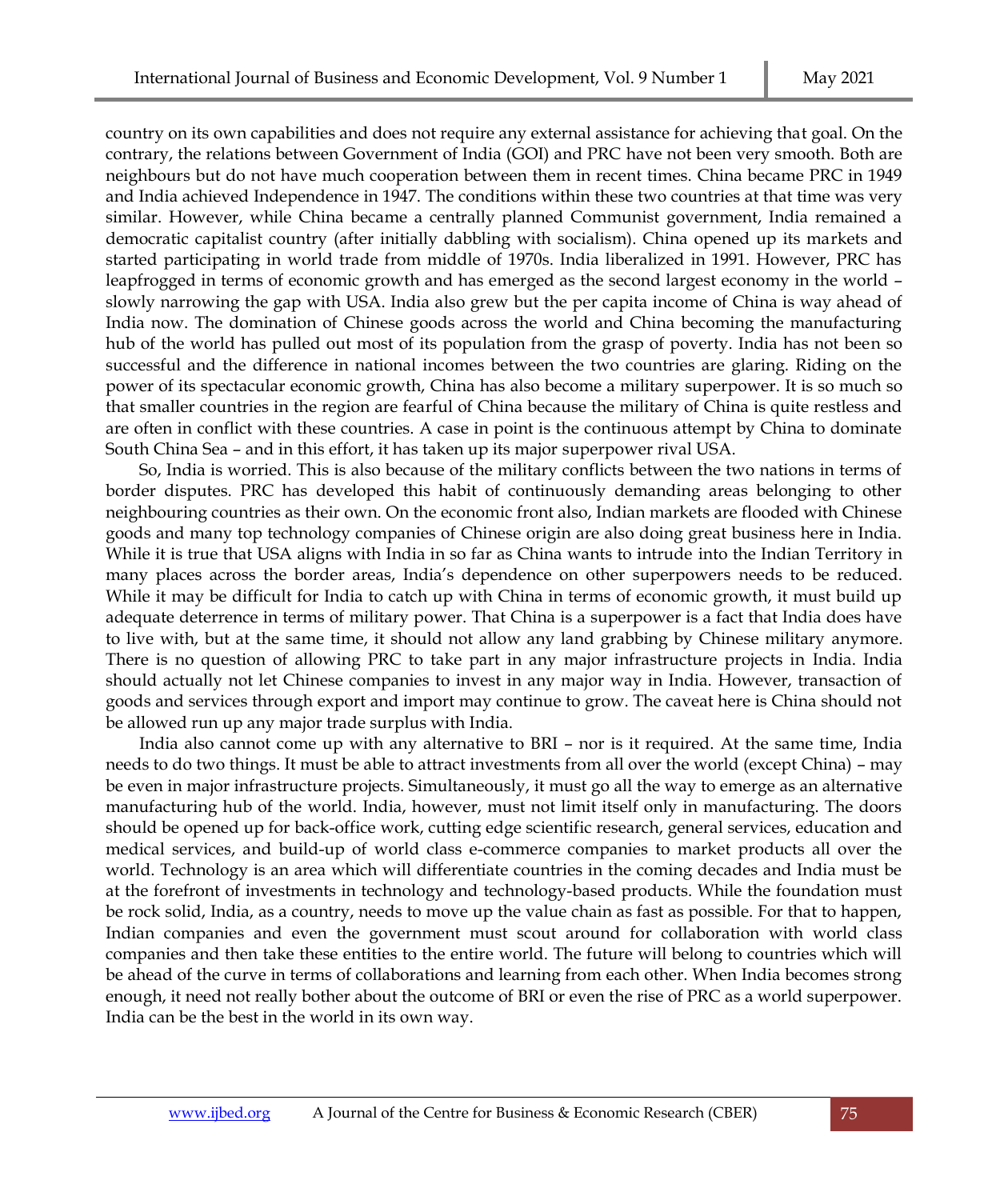country on its own capabilities and does not require any external assistance for achieving that goal. On the contrary, the relations between Government of India (GOI) and PRC have not been very smooth. Both are neighbours but do not have much cooperation between them in recent times. China became PRC in 1949 and India achieved Independence in 1947. The conditions within these two countries at that time was very similar. However, while China became a centrally planned Communist government, India remained a democratic capitalist country (after initially dabbling with socialism). China opened up its markets and started participating in world trade from middle of 1970s. India liberalized in 1991. However, PRC has leapfrogged in terms of economic growth and has emerged as the second largest economy in the world – slowly narrowing the gap with USA. India also grew but the per capita income of China is way ahead of India now. The domination of Chinese goods across the world and China becoming the manufacturing hub of the world has pulled out most of its population from the grasp of poverty. India has not been so successful and the difference in national incomes between the two countries are glaring. Riding on the power of its spectacular economic growth, China has also become a military superpower. It is so much so that smaller countries in the region are fearful of China because the military of China is quite restless and are often in conflict with these countries. A case in point is the continuous attempt by China to dominate South China Sea – and in this effort, it has taken up its major superpower rival USA.

So, India is worried. This is also because of the military conflicts between the two nations in terms of border disputes. PRC has developed this habit of continuously demanding areas belonging to other neighbouring countries as their own. On the economic front also, Indian markets are flooded with Chinese goods and many top technology companies of Chinese origin are also doing great business here in India. While it is true that USA aligns with India in so far as China wants to intrude into the Indian Territory in many places across the border areas, India's dependence on other superpowers needs to be reduced. While it may be difficult for India to catch up with China in terms of economic growth, it must build up adequate deterrence in terms of military power. That China is a superpower is a fact that India does have to live with, but at the same time, it should not allow any land grabbing by Chinese military anymore. There is no question of allowing PRC to take part in any major infrastructure projects in India. India should actually not let Chinese companies to invest in any major way in India. However, transaction of goods and services through export and import may continue to grow. The caveat here is China should not be allowed run up any major trade surplus with India.

India also cannot come up with any alternative to BRI – nor is it required. At the same time, India needs to do two things. It must be able to attract investments from all over the world (except China) – may be even in major infrastructure projects. Simultaneously, it must go all the way to emerge as an alternative manufacturing hub of the world. India, however, must not limit itself only in manufacturing. The doors should be opened up for back-office work, cutting edge scientific research, general services, education and medical services, and build-up of world class e-commerce companies to market products all over the world. Technology is an area which will differentiate countries in the coming decades and India must be at the forefront of investments in technology and technology-based products. While the foundation must be rock solid, India, as a country, needs to move up the value chain as fast as possible. For that to happen, Indian companies and even the government must scout around for collaboration with world class companies and then take these entities to the entire world. The future will belong to countries which will be ahead of the curve in terms of collaborations and learning from each other. When India becomes strong enough, it need not really bother about the outcome of BRI or even the rise of PRC as a world superpower. India can be the best in the world in its own way.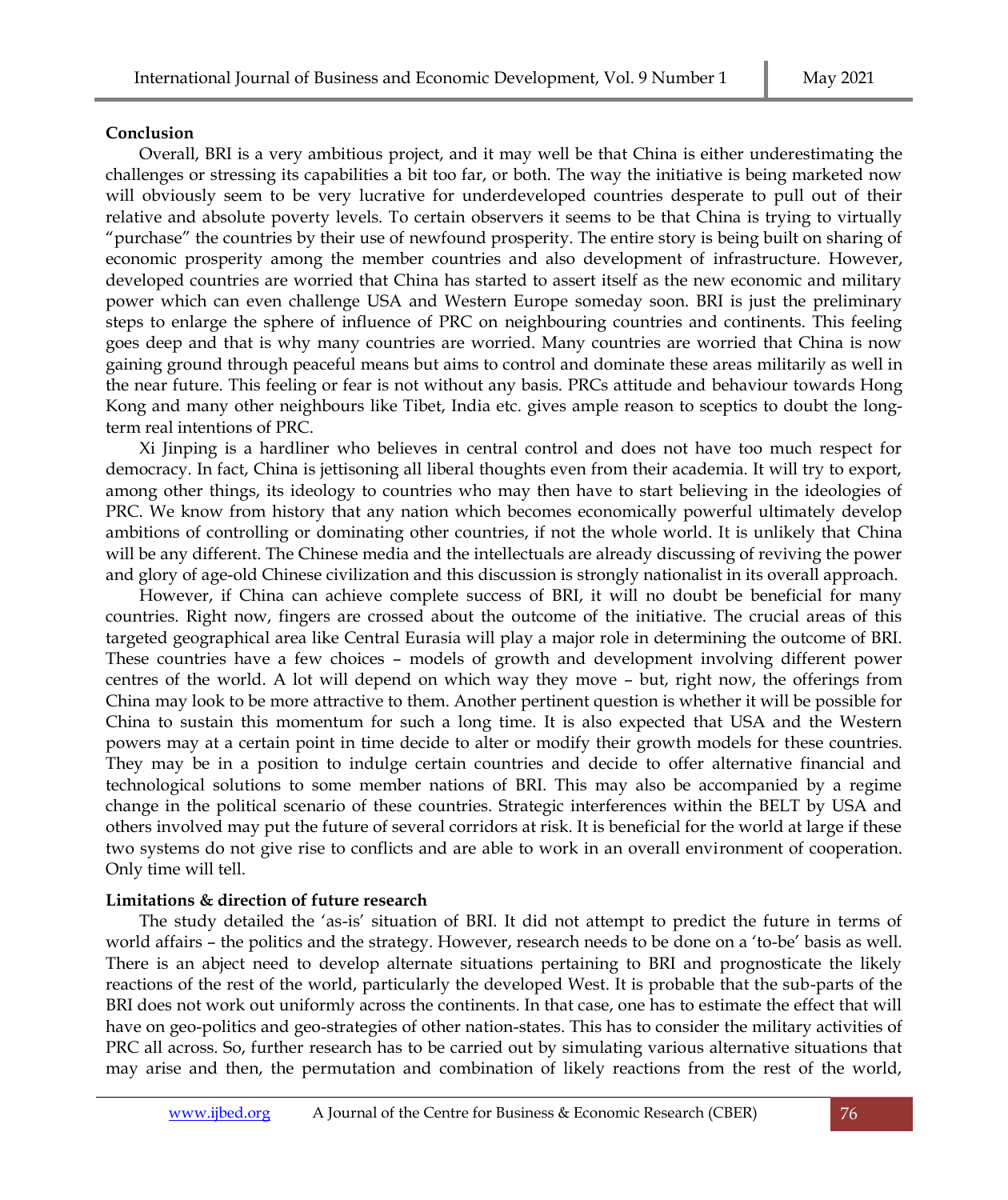#### **Conclusion**

Overall, BRI is a very ambitious project, and it may well be that China is either underestimating the challenges or stressing its capabilities a bit too far, or both. The way the initiative is being marketed now will obviously seem to be very lucrative for underdeveloped countries desperate to pull out of their relative and absolute poverty levels. To certain observers it seems to be that China is trying to virtually "purchase" the countries by their use of newfound prosperity. The entire story is being built on sharing of economic prosperity among the member countries and also development of infrastructure. However, developed countries are worried that China has started to assert itself as the new economic and military power which can even challenge USA and Western Europe someday soon. BRI is just the preliminary steps to enlarge the sphere of influence of PRC on neighbouring countries and continents. This feeling goes deep and that is why many countries are worried. Many countries are worried that China is now gaining ground through peaceful means but aims to control and dominate these areas militarily as well in the near future. This feeling or fear is not without any basis. PRCs attitude and behaviour towards Hong Kong and many other neighbours like Tibet, India etc. gives ample reason to sceptics to doubt the longterm real intentions of PRC.

Xi Jinping is a hardliner who believes in central control and does not have too much respect for democracy. In fact, China is jettisoning all liberal thoughts even from their academia. It will try to export, among other things, its ideology to countries who may then have to start believing in the ideologies of PRC. We know from history that any nation which becomes economically powerful ultimately develop ambitions of controlling or dominating other countries, if not the whole world. It is unlikely that China will be any different. The Chinese media and the intellectuals are already discussing of reviving the power and glory of age-old Chinese civilization and this discussion is strongly nationalist in its overall approach.

However, if China can achieve complete success of BRI, it will no doubt be beneficial for many countries. Right now, fingers are crossed about the outcome of the initiative. The crucial areas of this targeted geographical area like Central Eurasia will play a major role in determining the outcome of BRI. These countries have a few choices – models of growth and development involving different power centres of the world. A lot will depend on which way they move – but, right now, the offerings from China may look to be more attractive to them. Another pertinent question is whether it will be possible for China to sustain this momentum for such a long time. It is also expected that USA and the Western powers may at a certain point in time decide to alter or modify their growth models for these countries. They may be in a position to indulge certain countries and decide to offer alternative financial and technological solutions to some member nations of BRI. This may also be accompanied by a regime change in the political scenario of these countries. Strategic interferences within the BELT by USA and others involved may put the future of several corridors at risk. It is beneficial for the world at large if these two systems do not give rise to conflicts and are able to work in an overall environment of cooperation. Only time will tell.

# **Limitations & direction of future research**

The study detailed the 'as-is' situation of BRI. It did not attempt to predict the future in terms of world affairs – the politics and the strategy. However, research needs to be done on a 'to-be' basis as well. There is an abject need to develop alternate situations pertaining to BRI and prognosticate the likely reactions of the rest of the world, particularly the developed West. It is probable that the sub-parts of the BRI does not work out uniformly across the continents. In that case, one has to estimate the effect that will have on geo-politics and geo-strategies of other nation-states. This has to consider the military activities of PRC all across. So, further research has to be carried out by simulating various alternative situations that may arise and then, the permutation and combination of likely reactions from the rest of the world,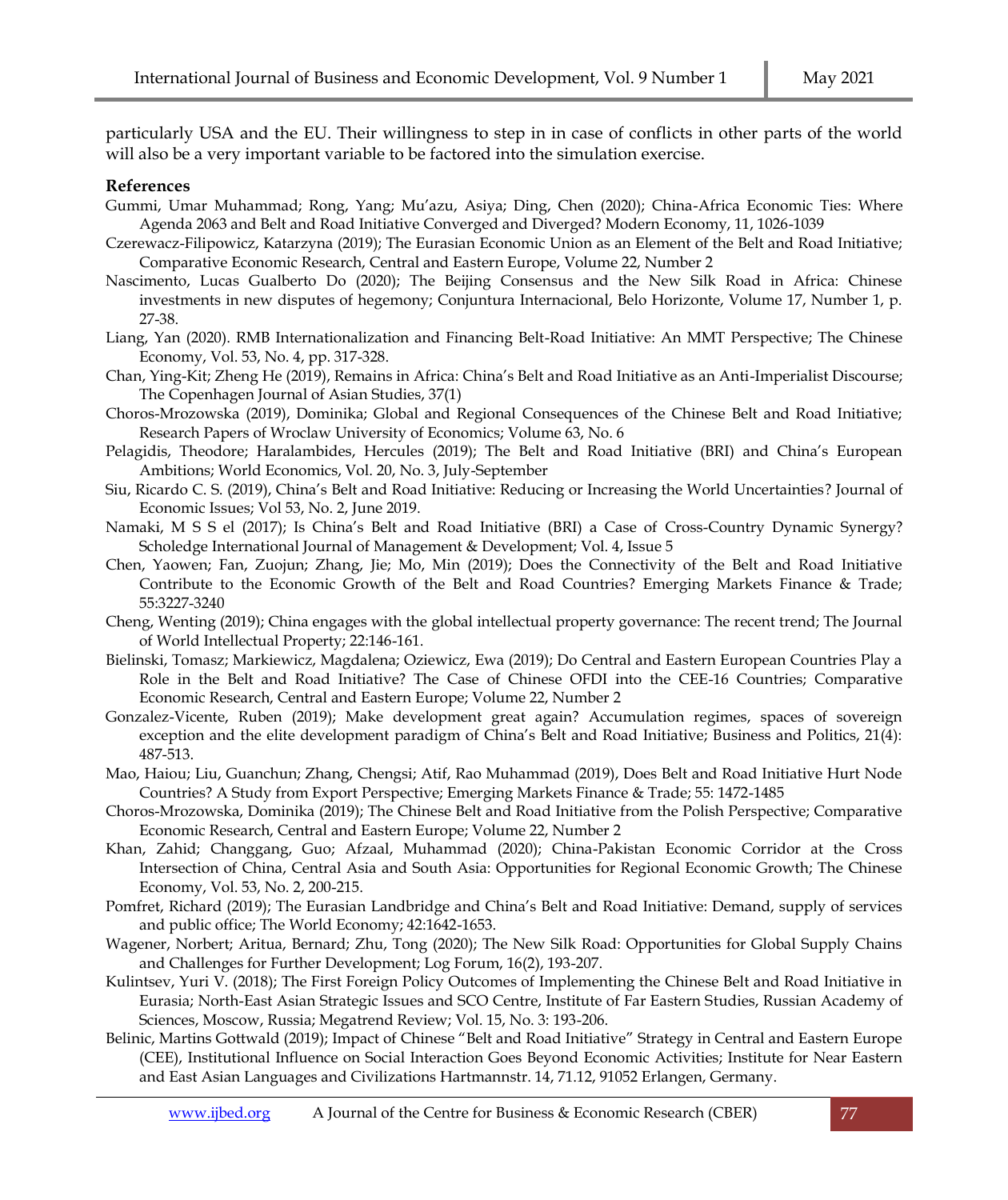particularly USA and the EU. Their willingness to step in in case of conflicts in other parts of the world will also be a very important variable to be factored into the simulation exercise.

#### **References**

- Gummi, Umar Muhammad; Rong, Yang; Mu'azu, Asiya; Ding, Chen (2020); China-Africa Economic Ties: Where Agenda 2063 and Belt and Road Initiative Converged and Diverged? Modern Economy, 11, 1026-1039
- Czerewacz-Filipowicz, Katarzyna (2019); The Eurasian Economic Union as an Element of the Belt and Road Initiative; Comparative Economic Research, Central and Eastern Europe, Volume 22, Number 2
- Nascimento, Lucas Gualberto Do (2020); The Beijing Consensus and the New Silk Road in Africa: Chinese investments in new disputes of hegemony; Conjuntura Internacional, Belo Horizonte, Volume 17, Number 1, p. 27-38.
- Liang, Yan (2020). RMB Internationalization and Financing Belt-Road Initiative: An MMT Perspective; The Chinese Economy, Vol. 53, No. 4, pp. 317-328.
- Chan, Ying-Kit; Zheng He (2019), Remains in Africa: China's Belt and Road Initiative as an Anti-Imperialist Discourse; The Copenhagen Journal of Asian Studies, 37(1)
- Choros-Mrozowska (2019), Dominika; Global and Regional Consequences of the Chinese Belt and Road Initiative; Research Papers of Wroclaw University of Economics; Volume 63, No. 6
- Pelagidis, Theodore; Haralambides, Hercules (2019); The Belt and Road Initiative (BRI) and China's European Ambitions; World Economics, Vol. 20, No. 3, July-September
- Siu, Ricardo C. S. (2019), China's Belt and Road Initiative: Reducing or Increasing the World Uncertainties? Journal of Economic Issues; Vol 53, No. 2, June 2019.
- Namaki, M S S el (2017); Is China's Belt and Road Initiative (BRI) a Case of Cross-Country Dynamic Synergy? Scholedge International Journal of Management & Development; Vol. 4, Issue 5
- Chen, Yaowen; Fan, Zuojun; Zhang, Jie; Mo, Min (2019); Does the Connectivity of the Belt and Road Initiative Contribute to the Economic Growth of the Belt and Road Countries? Emerging Markets Finance & Trade; 55:3227-3240
- Cheng, Wenting (2019); China engages with the global intellectual property governance: The recent trend; The Journal of World Intellectual Property; 22:146-161.
- Bielinski, Tomasz; Markiewicz, Magdalena; Oziewicz, Ewa (2019); Do Central and Eastern European Countries Play a Role in the Belt and Road Initiative? The Case of Chinese OFDI into the CEE-16 Countries; Comparative Economic Research, Central and Eastern Europe; Volume 22, Number 2
- Gonzalez-Vicente, Ruben (2019); Make development great again? Accumulation regimes, spaces of sovereign exception and the elite development paradigm of China's Belt and Road Initiative; Business and Politics, 21(4): 487-513.
- Mao, Haiou; Liu, Guanchun; Zhang, Chengsi; Atif, Rao Muhammad (2019), Does Belt and Road Initiative Hurt Node Countries? A Study from Export Perspective; Emerging Markets Finance & Trade; 55: 1472-1485
- Choros-Mrozowska, Dominika (2019); The Chinese Belt and Road Initiative from the Polish Perspective; Comparative Economic Research, Central and Eastern Europe; Volume 22, Number 2
- Khan, Zahid; Changgang, Guo; Afzaal, Muhammad (2020); China-Pakistan Economic Corridor at the Cross Intersection of China, Central Asia and South Asia: Opportunities for Regional Economic Growth; The Chinese Economy, Vol. 53, No. 2, 200-215.
- Pomfret, Richard (2019); The Eurasian Landbridge and China's Belt and Road Initiative: Demand, supply of services and public office; The World Economy; 42:1642-1653.
- Wagener, Norbert; Aritua, Bernard; Zhu, Tong (2020); The New Silk Road: Opportunities for Global Supply Chains and Challenges for Further Development; Log Forum, 16(2), 193-207.
- Kulintsev, Yuri V. (2018); The First Foreign Policy Outcomes of Implementing the Chinese Belt and Road Initiative in Eurasia; North-East Asian Strategic Issues and SCO Centre, Institute of Far Eastern Studies, Russian Academy of Sciences, Moscow, Russia; Megatrend Review; Vol. 15, No. 3: 193-206.
- Belinic, Martins Gottwald (2019); Impact of Chinese "Belt and Road Initiative" Strategy in Central and Eastern Europe (CEE), Institutional Influence on Social Interaction Goes Beyond Economic Activities; Institute for Near Eastern and East Asian Languages and Civilizations Hartmannstr. 14, 71.12, 91052 Erlangen, Germany.